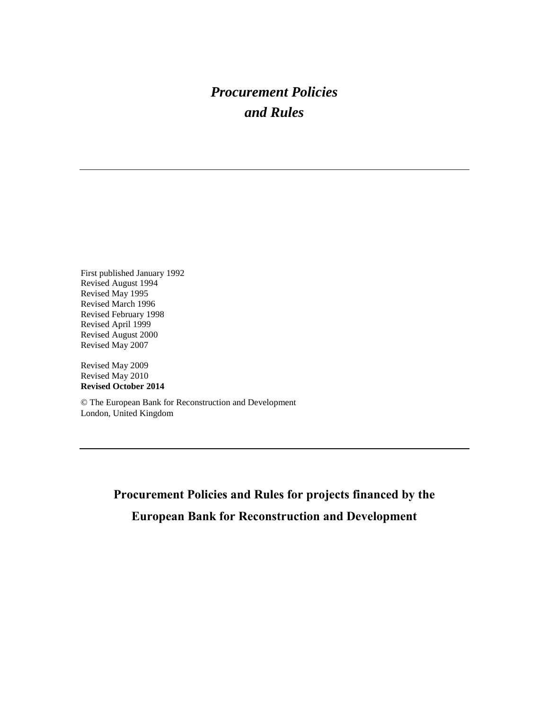# *Procurement Policies and Rules*

First published January 1992 Revised August 1994 Revised May 1995 Revised March 1996 Revised February 1998 Revised April 1999 Revised August 2000 Revised May 2007

Revised May 2009 Revised May 2010 **Revised October 2014**

© The European Bank for Reconstruction and Development London, United Kingdom

> **Procurement Policies and Rules for projects financed by the European Bank for Reconstruction and Development**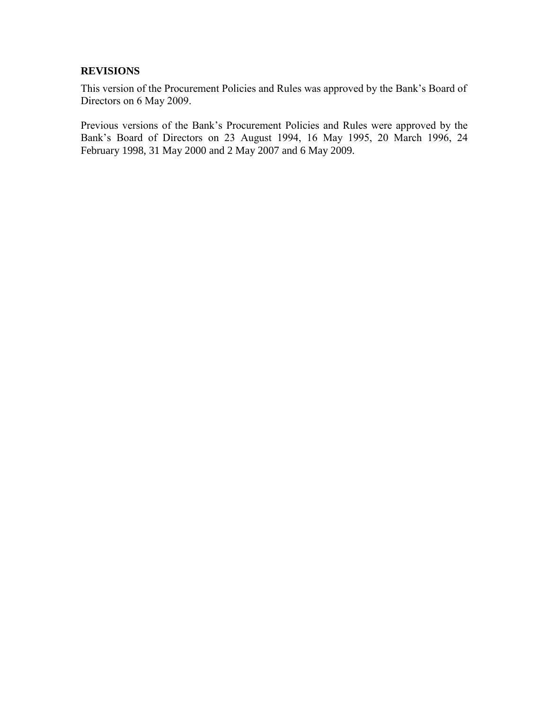#### **REVISIONS**

This version of the Procurement Policies and Rules was approved by the Bank's Board of Directors on 6 May 2009.

Previous versions of the Bank's Procurement Policies and Rules were approved by the Bank's Board of Directors on 23 August 1994, 16 May 1995, 20 March 1996, 24 February 1998, 31 May 2000 and 2 May 2007 and 6 May 2009.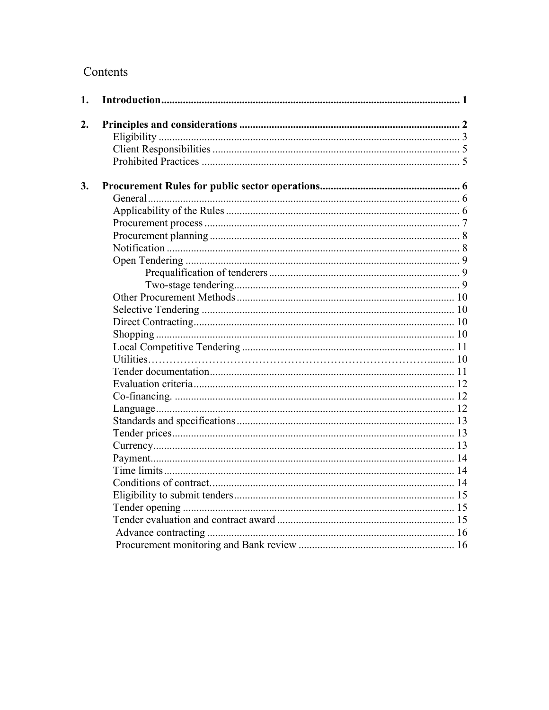# Contents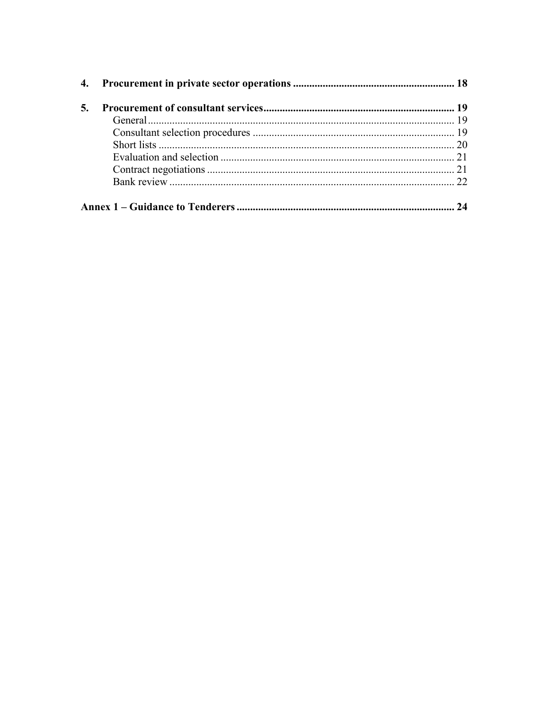| 5. |    |
|----|----|
|    |    |
|    |    |
|    |    |
|    |    |
|    |    |
|    |    |
|    |    |
|    | 24 |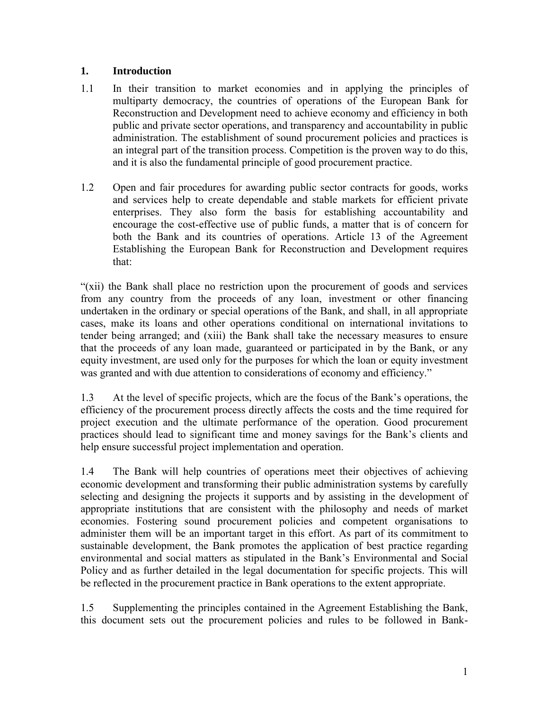#### <span id="page-4-0"></span>**1. Introduction**

- 1.1 In their transition to market economies and in applying the principles of multiparty democracy, the countries of operations of the European Bank for Reconstruction and Development need to achieve economy and efficiency in both public and private sector operations, and transparency and accountability in public administration. The establishment of sound procurement policies and practices is an integral part of the transition process. Competition is the proven way to do this, and it is also the fundamental principle of good procurement practice.
- 1.2 Open and fair procedures for awarding public sector contracts for goods, works and services help to create dependable and stable markets for efficient private enterprises. They also form the basis for establishing accountability and encourage the cost-effective use of public funds, a matter that is of concern for both the Bank and its countries of operations. Article 13 of the Agreement Establishing the European Bank for Reconstruction and Development requires that:

"(xii) the Bank shall place no restriction upon the procurement of goods and services from any country from the proceeds of any loan, investment or other financing undertaken in the ordinary or special operations of the Bank, and shall, in all appropriate cases, make its loans and other operations conditional on international invitations to tender being arranged; and (xiii) the Bank shall take the necessary measures to ensure that the proceeds of any loan made, guaranteed or participated in by the Bank, or any equity investment, are used only for the purposes for which the loan or equity investment was granted and with due attention to considerations of economy and efficiency."

1.3 At the level of specific projects, which are the focus of the Bank's operations, the efficiency of the procurement process directly affects the costs and the time required for project execution and the ultimate performance of the operation. Good procurement practices should lead to significant time and money savings for the Bank's clients and help ensure successful project implementation and operation.

1.4 The Bank will help countries of operations meet their objectives of achieving economic development and transforming their public administration systems by carefully selecting and designing the projects it supports and by assisting in the development of appropriate institutions that are consistent with the philosophy and needs of market economies. Fostering sound procurement policies and competent organisations to administer them will be an important target in this effort. As part of its commitment to sustainable development, the Bank promotes the application of best practice regarding environmental and social matters as stipulated in the Bank's Environmental and Social Policy and as further detailed in the legal documentation for specific projects. This will be reflected in the procurement practice in Bank operations to the extent appropriate.

1.5 Supplementing the principles contained in the Agreement Establishing the Bank, this document sets out the procurement policies and rules to be followed in Bank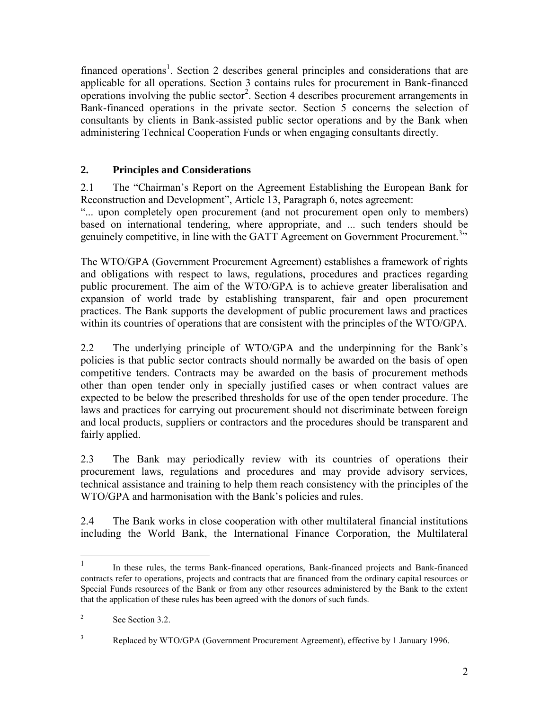financed operations<sup>1</sup>. Section 2 describes general principles and considerations that are applicable for all operations. Section 3 contains rules for procurement in Bank-financed operations involving the public sector<sup>2</sup>. Section 4 describes procurement arrangements in Bank-financed operations in the private sector. Section 5 concerns the selection of consultants by clients in Bank-assisted public sector operations and by the Bank when administering Technical Cooperation Funds or when engaging consultants directly.

# <span id="page-5-0"></span>**2. Principles and Considerations**

2.1 The "Chairman's Report on the Agreement Establishing the European Bank for Reconstruction and Development", Article 13, Paragraph 6, notes agreement:

"... upon completely open procurement (and not procurement open only to members) based on international tendering, where appropriate, and ... such tenders should be genuinely competitive, in line with the GATT Agreement on Government Procurement.<sup>3</sup>"

The WTO/GPA (Government Procurement Agreement) establishes a framework of rights and obligations with respect to laws, regulations, procedures and practices regarding public procurement. The aim of the WTO/GPA is to achieve greater liberalisation and expansion of world trade by establishing transparent, fair and open procurement practices. The Bank supports the development of public procurement laws and practices within its countries of operations that are consistent with the principles of the WTO/GPA.

2.2 The underlying principle of WTO/GPA and the underpinning for the Bank's policies is that public sector contracts should normally be awarded on the basis of open competitive tenders. Contracts may be awarded on the basis of procurement methods other than open tender only in specially justified cases or when contract values are expected to be below the prescribed thresholds for use of the open tender procedure. The laws and practices for carrying out procurement should not discriminate between foreign and local products, suppliers or contractors and the procedures should be transparent and fairly applied.

2.3 The Bank may periodically review with its countries of operations their procurement laws, regulations and procedures and may provide advisory services, technical assistance and training to help them reach consistency with the principles of the WTO/GPA and harmonisation with the Bank's policies and rules.

2.4 The Bank works in close cooperation with other multilateral financial institutions including the World Bank, the International Finance Corporation, the Multilateral

 $\frac{1}{1}$ In these rules, the terms Bank-financed operations, Bank-financed projects and Bank-financed contracts refer to operations, projects and contracts that are financed from the ordinary capital resources or Special Funds resources of the Bank or from any other resources administered by the Bank to the extent that the application of these rules has been agreed with the donors of such funds.

<sup>2</sup> See Section 3.2.

<sup>&</sup>lt;sup>3</sup> Replaced by WTO/GPA (Government Procurement Agreement), effective by 1 January 1996.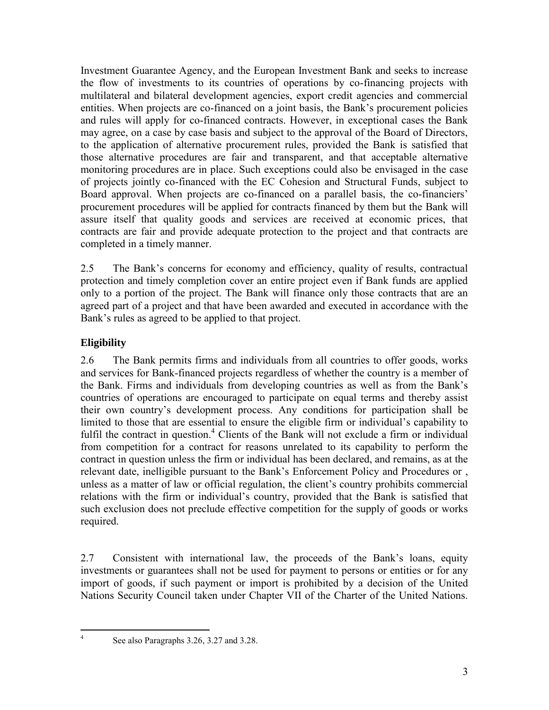Investment Guarantee Agency, and the European Investment Bank and seeks to increase the flow of investments to its countries of operations by co-financing projects with multilateral and bilateral development agencies, export credit agencies and commercial entities. When projects are co-financed on a joint basis, the Bank's procurement policies and rules will apply for co-financed contracts. However, in exceptional cases the Bank may agree, on a case by case basis and subject to the approval of the Board of Directors, to the application of alternative procurement rules, provided the Bank is satisfied that those alternative procedures are fair and transparent, and that acceptable alternative monitoring procedures are in place. Such exceptions could also be envisaged in the case of projects jointly co-financed with the EC Cohesion and Structural Funds, subject to Board approval. When projects are co-financed on a parallel basis, the co-financiers' procurement procedures will be applied for contracts financed by them but the Bank will assure itself that quality goods and services are received at economic prices, that contracts are fair and provide adequate protection to the project and that contracts are completed in a timely manner.

2.5 The Bank's concerns for economy and efficiency, quality of results, contractual protection and timely completion cover an entire project even if Bank funds are applied only to a portion of the project. The Bank will finance only those contracts that are an agreed part of a project and that have been awarded and executed in accordance with the Bank's rules as agreed to be applied to that project.

# <span id="page-6-0"></span>**Eligibility**

2.6 The Bank permits firms and individuals from all countries to offer goods, works and services for Bank-financed projects regardless of whether the country is a member of the Bank. Firms and individuals from developing countries as well as from the Bank's countries of operations are encouraged to participate on equal terms and thereby assist their own country's development process. Any conditions for participation shall be limited to those that are essential to ensure the eligible firm or individual's capability to fulfil the contract in question.<sup>4</sup> Clients of the Bank will not exclude a firm or individual from competition for a contract for reasons unrelated to its capability to perform the contract in question unless the firm or individual has been declared, and remains, as at the relevant date, inelligible pursuant to the Bank's Enforcement Policy and Procedures or , unless as a matter of law or official regulation, the client's country prohibits commercial relations with the firm or individual's country, provided that the Bank is satisfied that such exclusion does not preclude effective competition for the supply of goods or works required.

2.7 Consistent with international law, the proceeds of the Bank's loans, equity investments or guarantees shall not be used for payment to persons or entities or for any import of goods, if such payment or import is prohibited by a decision of the United Nations Security Council taken under Chapter VII of the Charter of the United Nations.

 $\frac{1}{4}$ 

See also Paragraphs 3.26, 3.27 and 3.28.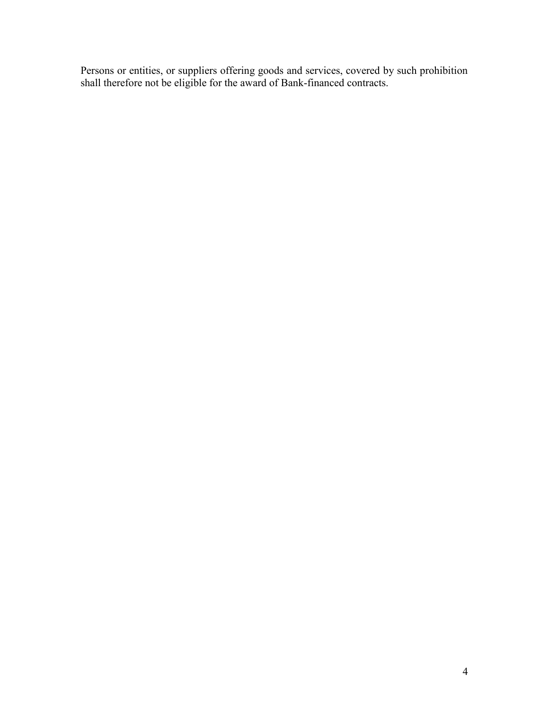Persons or entities, or suppliers offering goods and services, covered by such prohibition shall therefore not be eligible for the award of Bank-financed contracts.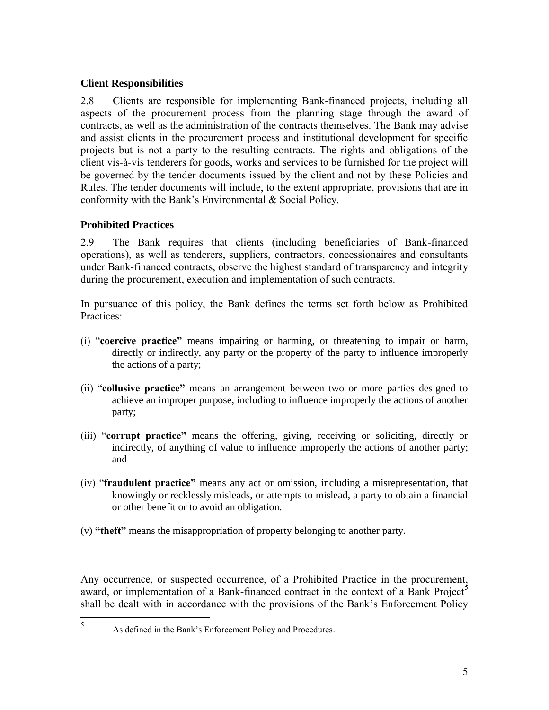#### <span id="page-8-0"></span>**Client Responsibilities**

2.8 Clients are responsible for implementing Bank-financed projects, including all aspects of the procurement process from the planning stage through the award of contracts, as well as the administration of the contracts themselves. The Bank may advise and assist clients in the procurement process and institutional development for specific projects but is not a party to the resulting contracts. The rights and obligations of the client vis-à-vis tenderers for goods, works and services to be furnished for the project will be governed by the tender documents issued by the client and not by these Policies and Rules. The tender documents will include, to the extent appropriate, provisions that are in conformity with the Bank's Environmental & Social Policy.

#### <span id="page-8-1"></span>**Prohibited Practices**

2.9 The Bank requires that clients (including beneficiaries of Bank-financed operations), as well as tenderers, suppliers, contractors, concessionaires and consultants under Bank-financed contracts, observe the highest standard of transparency and integrity during the procurement, execution and implementation of such contracts.

In pursuance of this policy, the Bank defines the terms set forth below as Prohibited Practices:

- (i) "**coercive practice"** means impairing or harming, or threatening to impair or harm, directly or indirectly, any party or the property of the party to influence improperly the actions of a party;
- (ii) "**collusive practice"** means an arrangement between two or more parties designed to achieve an improper purpose, including to influence improperly the actions of another party;
- (iii) "**corrupt practice"** means the offering, giving, receiving or soliciting, directly or indirectly, of anything of value to influence improperly the actions of another party; and
- (iv) "**fraudulent practice"** means any act or omission, including a misrepresentation, that knowingly or recklessly misleads, or attempts to mislead, a party to obtain a financial or other benefit or to avoid an obligation.
- (v) **"theft"** means the misappropriation of property belonging to another party.

Any occurrence, or suspected occurrence, of a Prohibited Practice in the procurement, award, or implementation of a Bank-financed contract in the context of a Bank Project<sup>5</sup> shall be dealt with in accordance with the provisions of the Bank's Enforcement Policy

 $\frac{1}{5}$ 

As defined in the Bank's Enforcement Policy and Procedures.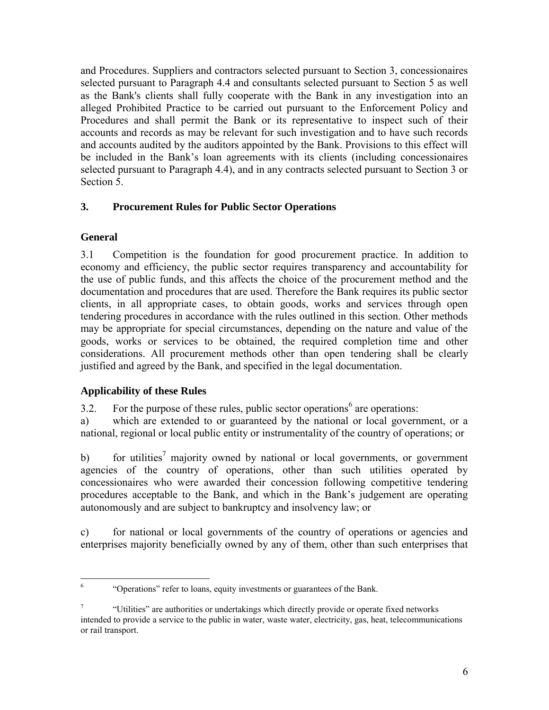and Procedures. Suppliers and contractors selected pursuant to Section 3, concessionaires selected pursuant to Paragraph 4.4 and consultants selected pursuant to Section 5 as well as the Bank's clients shall fully cooperate with the Bank in any investigation into an alleged Prohibited Practice to be carried out pursuant to the Enforcement Policy and Procedures and shall permit the Bank or its representative to inspect such of their accounts and records as may be relevant for such investigation and to have such records and accounts audited by the auditors appointed by the Bank. Provisions to this effect will be included in the Bank's loan agreements with its clients (including concessionaires selected pursuant to Paragraph 4.4), and in any contracts selected pursuant to Section 3 or Section 5.

# <span id="page-9-0"></span>**3. Procurement Rules for Public Sector Operations**

# <span id="page-9-1"></span>**General**

3.1 Competition is the foundation for good procurement practice. In addition to economy and efficiency, the public sector requires transparency and accountability for the use of public funds, and this affects the choice of the procurement method and the documentation and procedures that are used. Therefore the Bank requires its public sector clients, in all appropriate cases, to obtain goods, works and services through open tendering procedures in accordance with the rules outlined in this section. Other methods may be appropriate for special circumstances, depending on the nature and value of the goods, works or services to be obtained, the required completion time and other considerations. All procurement methods other than open tendering shall be clearly justified and agreed by the Bank, and specified in the legal documentation.

## <span id="page-9-2"></span>**Applicability of these Rules**

3.2. For the purpose of these rules, public sector operations<sup>6</sup> are operations:

a) which are extended to or guaranteed by the national or local government, or a national, regional or local public entity or instrumentality of the country of operations; or

b) for utilities<sup>7</sup> majority owned by national or local governments, or government agencies of the country of operations, other than such utilities operated by concessionaires who were awarded their concession following competitive tendering procedures acceptable to the Bank, and which in the Bank's judgement are operating autonomously and are subject to bankruptcy and insolvency law; or

c) for national or local governments of the country of operations or agencies and enterprises majority beneficially owned by any of them, other than such enterprises that

 6 "Operations" refer to loans, equity investments or guarantees of the Bank.

<sup>7</sup> "Utilities" are authorities or undertakings which directly provide or operate fixed networks intended to provide a service to the public in water, waste water, electricity, gas, heat, telecommunications or rail transport.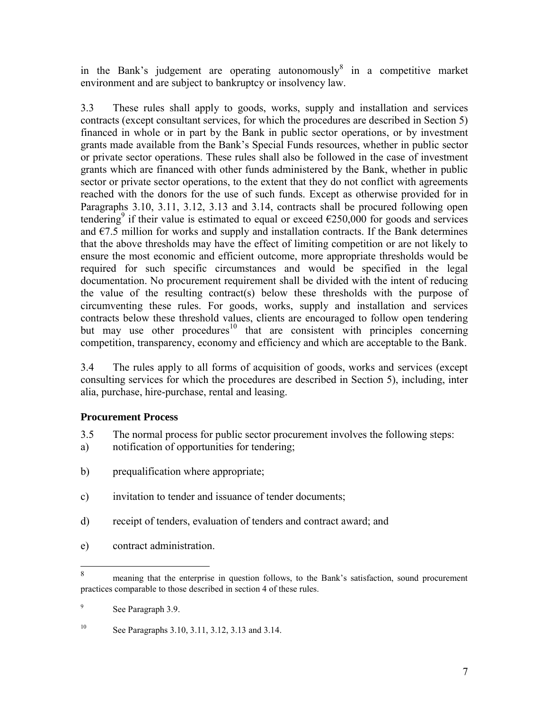in the Bank's judgement are operating autonomously $\delta$  in a competitive market environment and are subject to bankruptcy or insolvency law.

3.3 These rules shall apply to goods, works, supply and installation and services contracts (except consultant services, for which the procedures are described in Section 5) financed in whole or in part by the Bank in public sector operations, or by investment grants made available from the Bank's Special Funds resources, whether in public sector or private sector operations. These rules shall also be followed in the case of investment grants which are financed with other funds administered by the Bank, whether in public sector or private sector operations, to the extent that they do not conflict with agreements reached with the donors for the use of such funds. Except as otherwise provided for in Paragraphs 3.10, 3.11, 3.12, 3.13 and 3.14, contracts shall be procured following open tendering<sup>9</sup> if their value is estimated to equal or exceed  $\epsilon$ 250,000 for goods and services and  $\epsilon$ 7.5 million for works and supply and installation contracts. If the Bank determines that the above thresholds may have the effect of limiting competition or are not likely to ensure the most economic and efficient outcome, more appropriate thresholds would be required for such specific circumstances and would be specified in the legal documentation. No procurement requirement shall be divided with the intent of reducing the value of the resulting contract(s) below these thresholds with the purpose of circumventing these rules. For goods, works, supply and installation and services contracts below these threshold values, clients are encouraged to follow open tendering but may use other procedures<sup>10</sup> that are consistent with principles concerning competition, transparency, economy and efficiency and which are acceptable to the Bank.

3.4 The rules apply to all forms of acquisition of goods, works and services (except consulting services for which the procedures are described in Section 5), including, inter alia, purchase, hire-purchase, rental and leasing.

## <span id="page-10-0"></span>**Procurement Process**

- 3.5 The normal process for public sector procurement involves the following steps:
- a) notification of opportunities for tendering;
- b) prequalification where appropriate;
- c) invitation to tender and issuance of tender documents;
- d) receipt of tenders, evaluation of tenders and contract award; and
- e) contract administration.

<sup>8</sup> <sup>8</sup> meaning that the enterprise in question follows, to the Bank's satisfaction, sound procurement practices comparable to those described in section 4 of these rules.

<sup>9</sup> See Paragraph 3.9.

<sup>10</sup> See Paragraphs 3.10, 3.11, 3.12, 3.13 and 3.14.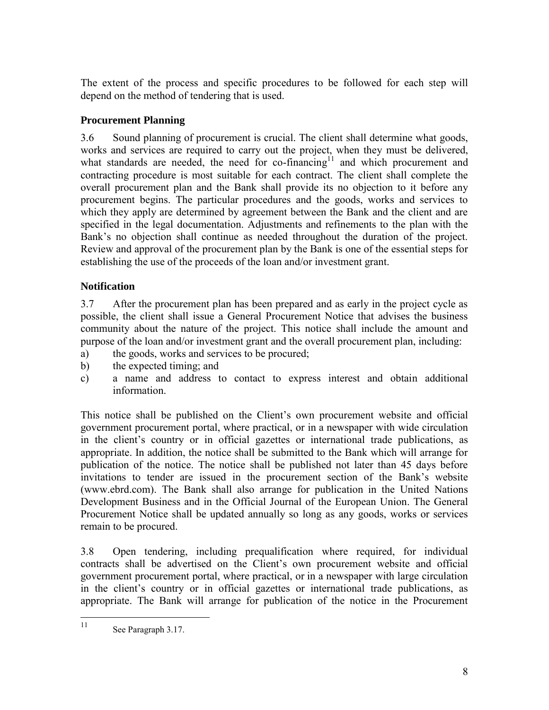The extent of the process and specific procedures to be followed for each step will depend on the method of tendering that is used.

## <span id="page-11-0"></span>**Procurement Planning**

3.6 Sound planning of procurement is crucial. The client shall determine what goods, works and services are required to carry out the project, when they must be delivered, what standards are needed, the need for co-financing<sup>11</sup> and which procurement and contracting procedure is most suitable for each contract. The client shall complete the overall procurement plan and the Bank shall provide its no objection to it before any procurement begins. The particular procedures and the goods, works and services to which they apply are determined by agreement between the Bank and the client and are specified in the legal documentation. Adjustments and refinements to the plan with the Bank's no objection shall continue as needed throughout the duration of the project. Review and approval of the procurement plan by the Bank is one of the essential steps for establishing the use of the proceeds of the loan and/or investment grant.

# <span id="page-11-1"></span>**Notification**

3.7 After the procurement plan has been prepared and as early in the project cycle as possible, the client shall issue a General Procurement Notice that advises the business community about the nature of the project. This notice shall include the amount and purpose of the loan and/or investment grant and the overall procurement plan, including:

- a) the goods, works and services to be procured;
- b) the expected timing; and
- c) a name and address to contact to express interest and obtain additional information.

This notice shall be published on the Client's own procurement website and official government procurement portal, where practical, or in a newspaper with wide circulation in the client's country or in official gazettes or international trade publications, as appropriate. In addition, the notice shall be submitted to the Bank which will arrange for publication of the notice. The notice shall be published not later than 45 days before invitations to tender are issued in the procurement section of the Bank's website (www.ebrd.com). The Bank shall also arrange for publication in the United Nations Development Business and in the Official Journal of the European Union. The General Procurement Notice shall be updated annually so long as any goods, works or services remain to be procured.

3.8 Open tendering, including prequalification where required, for individual contracts shall be advertised on the Client's own procurement website and official government procurement portal, where practical, or in a newspaper with large circulation in the client's country or in official gazettes or international trade publications, as appropriate. The Bank will arrange for publication of the notice in the Procurement

 $11$ See Paragraph 3.17.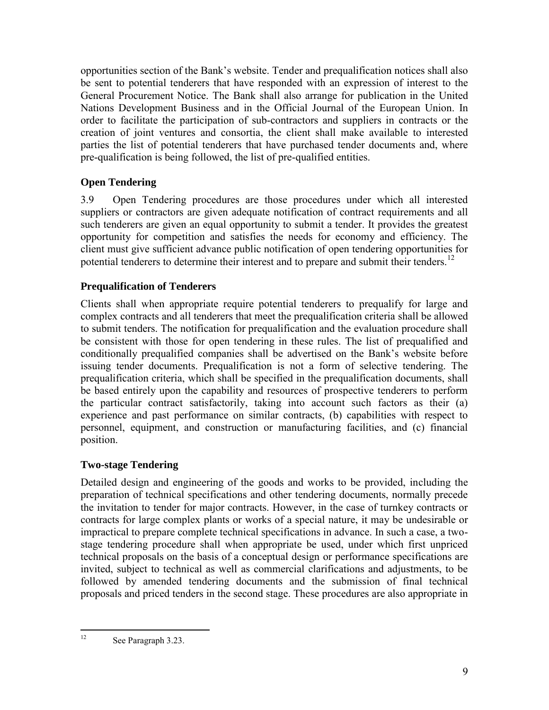opportunities section of the Bank's website. Tender and prequalification notices shall also be sent to potential tenderers that have responded with an expression of interest to the General Procurement Notice. The Bank shall also arrange for publication in the United Nations Development Business and in the Official Journal of the European Union. In order to facilitate the participation of sub-contractors and suppliers in contracts or the creation of joint ventures and consortia, the client shall make available to interested parties the list of potential tenderers that have purchased tender documents and, where pre-qualification is being followed, the list of pre-qualified entities.

# <span id="page-12-0"></span>**Open Tendering**

3.9 Open Tendering procedures are those procedures under which all interested suppliers or contractors are given adequate notification of contract requirements and all such tenderers are given an equal opportunity to submit a tender. It provides the greatest opportunity for competition and satisfies the needs for economy and efficiency. The client must give sufficient advance public notification of open tendering opportunities for potential tenderers to determine their interest and to prepare and submit their tenders.<sup>12</sup>

## <span id="page-12-1"></span>**Prequalification of Tenderers**

Clients shall when appropriate require potential tenderers to prequalify for large and complex contracts and all tenderers that meet the prequalification criteria shall be allowed to submit tenders. The notification for prequalification and the evaluation procedure shall be consistent with those for open tendering in these rules. The list of prequalified and conditionally prequalified companies shall be advertised on the Bank's website before issuing tender documents. Prequalification is not a form of selective tendering. The prequalification criteria, which shall be specified in the prequalification documents, shall be based entirely upon the capability and resources of prospective tenderers to perform the particular contract satisfactorily, taking into account such factors as their (a) experience and past performance on similar contracts, (b) capabilities with respect to personnel, equipment, and construction or manufacturing facilities, and (c) financial position.

## <span id="page-12-2"></span>**Two-stage Tendering**

Detailed design and engineering of the goods and works to be provided, including the preparation of technical specifications and other tendering documents, normally precede the invitation to tender for major contracts. However, in the case of turnkey contracts or contracts for large complex plants or works of a special nature, it may be undesirable or impractical to prepare complete technical specifications in advance. In such a case, a twostage tendering procedure shall when appropriate be used, under which first unpriced technical proposals on the basis of a conceptual design or performance specifications are invited, subject to technical as well as commercial clarifications and adjustments, to be followed by amended tendering documents and the submission of final technical proposals and priced tenders in the second stage. These procedures are also appropriate in

 $12 \,$ See Paragraph 3.23.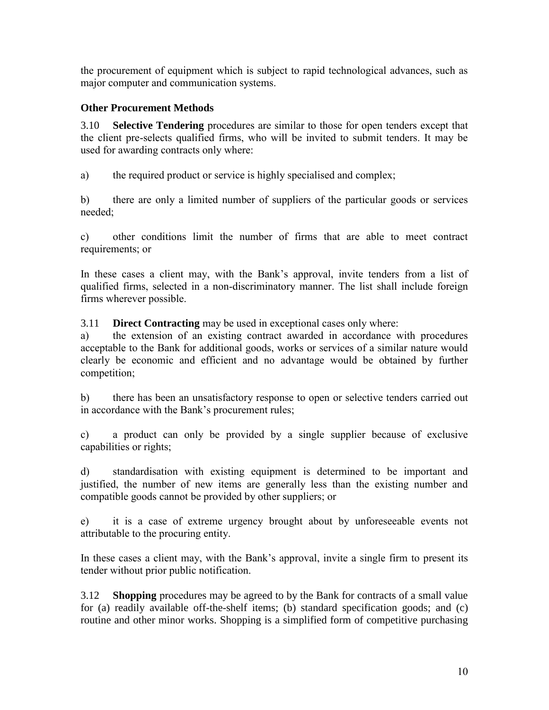the procurement of equipment which is subject to rapid technological advances, such as major computer and communication systems.

# <span id="page-13-0"></span>**Other Procurement Methods**

<span id="page-13-1"></span>3.10 **Selective Tendering** procedures are similar to those for open tenders except that the client pre-selects qualified firms, who will be invited to submit tenders. It may be used for awarding contracts only where:

a) the required product or service is highly specialised and complex;

b) there are only a limited number of suppliers of the particular goods or services needed;

c) other conditions limit the number of firms that are able to meet contract requirements; or

In these cases a client may, with the Bank's approval, invite tenders from a list of qualified firms, selected in a non-discriminatory manner. The list shall include foreign firms wherever possible.

<span id="page-13-2"></span>3.11 **Direct Contracting** may be used in exceptional cases only where:

a) the extension of an existing contract awarded in accordance with procedures acceptable to the Bank for additional goods, works or services of a similar nature would clearly be economic and efficient and no advantage would be obtained by further competition;

b) there has been an unsatisfactory response to open or selective tenders carried out in accordance with the Bank's procurement rules;

c) a product can only be provided by a single supplier because of exclusive capabilities or rights;

d) standardisation with existing equipment is determined to be important and justified, the number of new items are generally less than the existing number and compatible goods cannot be provided by other suppliers; or

e) it is a case of extreme urgency brought about by unforeseeable events not attributable to the procuring entity.

In these cases a client may, with the Bank's approval, invite a single firm to present its tender without prior public notification.

<span id="page-13-3"></span>3.12 **Shopping** procedures may be agreed to by the Bank for contracts of a small value for (a) readily available off-the-shelf items; (b) standard specification goods; and (c) routine and other minor works. Shopping is a simplified form of competitive purchasing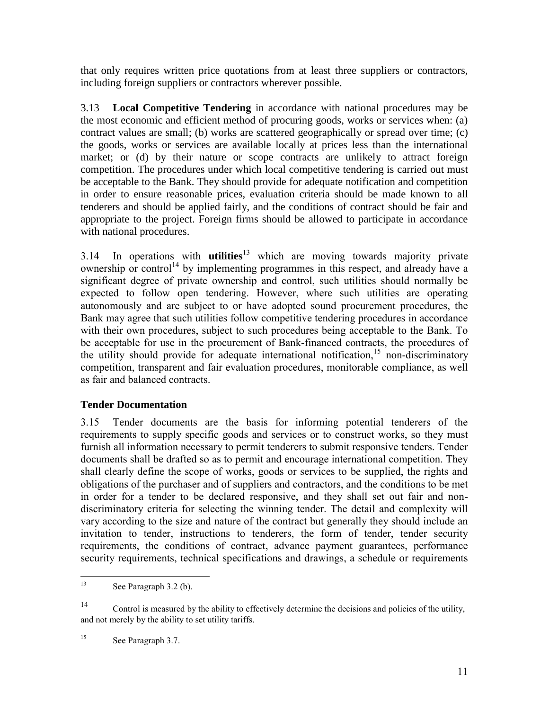that only requires written price quotations from at least three suppliers or contractors, including foreign suppliers or contractors wherever possible.

<span id="page-14-0"></span>3.13 **Local Competitive Tendering** in accordance with national procedures may be the most economic and efficient method of procuring goods, works or services when: (a) contract values are small; (b) works are scattered geographically or spread over time; (c) the goods, works or services are available locally at prices less than the international market; or (d) by their nature or scope contracts are unlikely to attract foreign competition. The procedures under which local competitive tendering is carried out must be acceptable to the Bank. They should provide for adequate notification and competition in order to ensure reasonable prices, evaluation criteria should be made known to all tenderers and should be applied fairly, and the conditions of contract should be fair and appropriate to the project. Foreign firms should be allowed to participate in accordance with national procedures.

3.14 In operations with **utilities**<sup>13</sup> which are moving towards majority private ownership or control<sup>14</sup> by implementing programmes in this respect, and already have a significant degree of private ownership and control, such utilities should normally be expected to follow open tendering. However, where such utilities are operating autonomously and are subject to or have adopted sound procurement procedures, the Bank may agree that such utilities follow competitive tendering procedures in accordance with their own procedures, subject to such procedures being acceptable to the Bank. To be acceptable for use in the procurement of Bank-financed contracts, the procedures of the utility should provide for adequate international notification,  $15$  non-discriminatory competition, transparent and fair evaluation procedures, monitorable compliance, as well as fair and balanced contracts.

## <span id="page-14-1"></span>**Tender Documentation**

3.15 Tender documents are the basis for informing potential tenderers of the requirements to supply specific goods and services or to construct works, so they must furnish all information necessary to permit tenderers to submit responsive tenders. Tender documents shall be drafted so as to permit and encourage international competition. They shall clearly define the scope of works, goods or services to be supplied, the rights and obligations of the purchaser and of suppliers and contractors, and the conditions to be met in order for a tender to be declared responsive, and they shall set out fair and nondiscriminatory criteria for selecting the winning tender. The detail and complexity will vary according to the size and nature of the contract but generally they should include an invitation to tender, instructions to tenderers, the form of tender, tender security requirements, the conditions of contract, advance payment guarantees, performance security requirements, technical specifications and drawings, a schedule or requirements

<sup>14</sup> Control is measured by the ability to effectively determine the decisions and policies of the utility, and not merely by the ability to set utility tariffs.

<sup>15</sup> See Paragraph 3.7.

<sup>13</sup> See Paragraph 3.2 (b).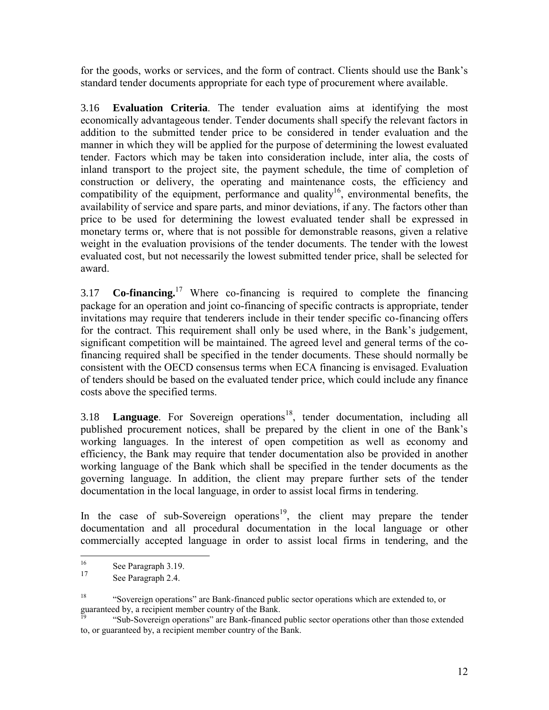for the goods, works or services, and the form of contract. Clients should use the Bank's standard tender documents appropriate for each type of procurement where available.

<span id="page-15-0"></span>3.16 **Evaluation Criteria**. The tender evaluation aims at identifying the most economically advantageous tender. Tender documents shall specify the relevant factors in addition to the submitted tender price to be considered in tender evaluation and the manner in which they will be applied for the purpose of determining the lowest evaluated tender. Factors which may be taken into consideration include, inter alia, the costs of inland transport to the project site, the payment schedule, the time of completion of construction or delivery, the operating and maintenance costs, the efficiency and compatibility of the equipment, performance and quality<sup>16</sup>, environmental benefits, the availability of service and spare parts, and minor deviations, if any. The factors other than price to be used for determining the lowest evaluated tender shall be expressed in monetary terms or, where that is not possible for demonstrable reasons, given a relative weight in the evaluation provisions of the tender documents. The tender with the lowest evaluated cost, but not necessarily the lowest submitted tender price, shall be selected for award.

<span id="page-15-1"></span>3.17 **Co-financing.**<sup>17</sup> Where co-financing is required to complete the financing package for an operation and joint co-financing of specific contracts is appropriate, tender invitations may require that tenderers include in their tender specific co-financing offers for the contract. This requirement shall only be used where, in the Bank's judgement, significant competition will be maintained. The agreed level and general terms of the cofinancing required shall be specified in the tender documents. These should normally be consistent with the OECD consensus terms when ECA financing is envisaged. Evaluation of tenders should be based on the evaluated tender price, which could include any finance costs above the specified terms.

<span id="page-15-2"></span>3.18 **Language**. For Sovereign operations<sup>18</sup>, tender documentation, including all published procurement notices, shall be prepared by the client in one of the Bank's working languages. In the interest of open competition as well as economy and efficiency, the Bank may require that tender documentation also be provided in another working language of the Bank which shall be specified in the tender documents as the governing language. In addition, the client may prepare further sets of the tender documentation in the local language, in order to assist local firms in tendering.

In the case of sub-Sovereign operations<sup>19</sup>, the client may prepare the tender documentation and all procedural documentation in the local language or other commercially accepted language in order to assist local firms in tendering, and the

 $16\,$  $\frac{16}{17}$  See Paragraph 3.19.

See Paragraph 2.4.

<sup>&</sup>lt;sup>18</sup> "Sovereign operations" are Bank-financed public sector operations which are extended to, or guaranteed by, a recipient member country of the Bank.

<sup>19</sup> "Sub-Sovereign operations" are Bank-financed public sector operations other than those extended to, or guaranteed by, a recipient member country of the Bank.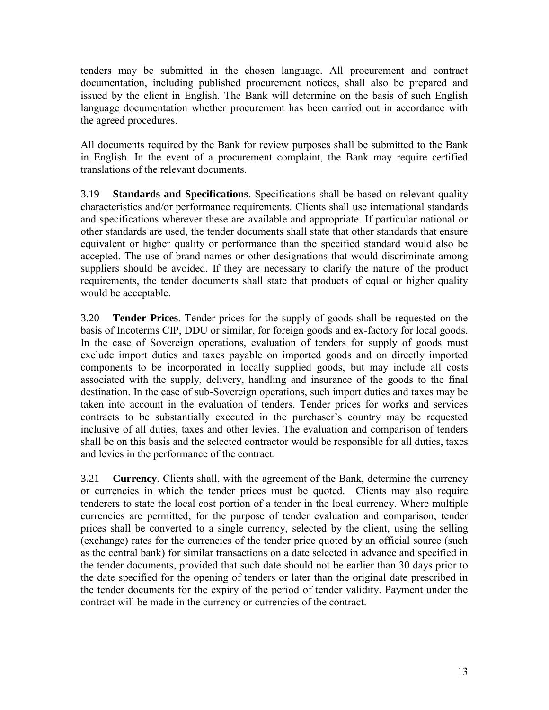tenders may be submitted in the chosen language. All procurement and contract documentation, including published procurement notices, shall also be prepared and issued by the client in English. The Bank will determine on the basis of such English language documentation whether procurement has been carried out in accordance with the agreed procedures.

All documents required by the Bank for review purposes shall be submitted to the Bank in English. In the event of a procurement complaint, the Bank may require certified translations of the relevant documents.

<span id="page-16-0"></span>3.19 **Standards and Specifications**. Specifications shall be based on relevant quality characteristics and/or performance requirements. Clients shall use international standards and specifications wherever these are available and appropriate. If particular national or other standards are used, the tender documents shall state that other standards that ensure equivalent or higher quality or performance than the specified standard would also be accepted. The use of brand names or other designations that would discriminate among suppliers should be avoided. If they are necessary to clarify the nature of the product requirements, the tender documents shall state that products of equal or higher quality would be acceptable.

<span id="page-16-1"></span>3.20 **Tender Prices**. Tender prices for the supply of goods shall be requested on the basis of Incoterms CIP, DDU or similar, for foreign goods and ex-factory for local goods. In the case of Sovereign operations, evaluation of tenders for supply of goods must exclude import duties and taxes payable on imported goods and on directly imported components to be incorporated in locally supplied goods, but may include all costs associated with the supply, delivery, handling and insurance of the goods to the final destination. In the case of sub-Sovereign operations, such import duties and taxes may be taken into account in the evaluation of tenders. Tender prices for works and services contracts to be substantially executed in the purchaser's country may be requested inclusive of all duties, taxes and other levies. The evaluation and comparison of tenders shall be on this basis and the selected contractor would be responsible for all duties, taxes and levies in the performance of the contract.

<span id="page-16-2"></span>3.21 **Currency**. Clients shall, with the agreement of the Bank, determine the currency or currencies in which the tender prices must be quoted. Clients may also require tenderers to state the local cost portion of a tender in the local currency. Where multiple currencies are permitted, for the purpose of tender evaluation and comparison, tender prices shall be converted to a single currency, selected by the client, using the selling (exchange) rates for the currencies of the tender price quoted by an official source (such as the central bank) for similar transactions on a date selected in advance and specified in the tender documents, provided that such date should not be earlier than 30 days prior to the date specified for the opening of tenders or later than the original date prescribed in the tender documents for the expiry of the period of tender validity. Payment under the contract will be made in the currency or currencies of the contract.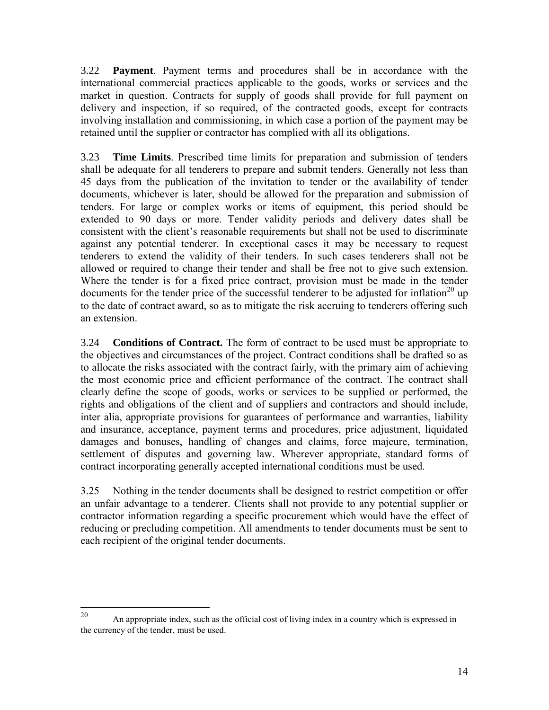<span id="page-17-0"></span>3.22 **Payment**. Payment terms and procedures shall be in accordance with the international commercial practices applicable to the goods, works or services and the market in question. Contracts for supply of goods shall provide for full payment on delivery and inspection, if so required, of the contracted goods, except for contracts involving installation and commissioning, in which case a portion of the payment may be retained until the supplier or contractor has complied with all its obligations.

<span id="page-17-1"></span>3.23 **Time Limits**. Prescribed time limits for preparation and submission of tenders shall be adequate for all tenderers to prepare and submit tenders. Generally not less than 45 days from the publication of the invitation to tender or the availability of tender documents, whichever is later, should be allowed for the preparation and submission of tenders. For large or complex works or items of equipment, this period should be extended to 90 days or more. Tender validity periods and delivery dates shall be consistent with the client's reasonable requirements but shall not be used to discriminate against any potential tenderer. In exceptional cases it may be necessary to request tenderers to extend the validity of their tenders. In such cases tenderers shall not be allowed or required to change their tender and shall be free not to give such extension. Where the tender is for a fixed price contract, provision must be made in the tender documents for the tender price of the successful tenderer to be adjusted for inflation<sup>20</sup> up to the date of contract award, so as to mitigate the risk accruing to tenderers offering such an extension.

<span id="page-17-2"></span>3.24 **Conditions of Contract.** The form of contract to be used must be appropriate to the objectives and circumstances of the project. Contract conditions shall be drafted so as to allocate the risks associated with the contract fairly, with the primary aim of achieving the most economic price and efficient performance of the contract. The contract shall clearly define the scope of goods, works or services to be supplied or performed, the rights and obligations of the client and of suppliers and contractors and should include, inter alia, appropriate provisions for guarantees of performance and warranties, liability and insurance, acceptance, payment terms and procedures, price adjustment, liquidated damages and bonuses, handling of changes and claims, force majeure, termination, settlement of disputes and governing law. Wherever appropriate, standard forms of contract incorporating generally accepted international conditions must be used.

3.25 Nothing in the tender documents shall be designed to restrict competition or offer an unfair advantage to a tenderer. Clients shall not provide to any potential supplier or contractor information regarding a specific procurement which would have the effect of reducing or precluding competition. All amendments to tender documents must be sent to each recipient of the original tender documents.

<sup>20</sup> <sup>20</sup> An appropriate index, such as the official cost of living index in a country which is expressed in the currency of the tender, must be used.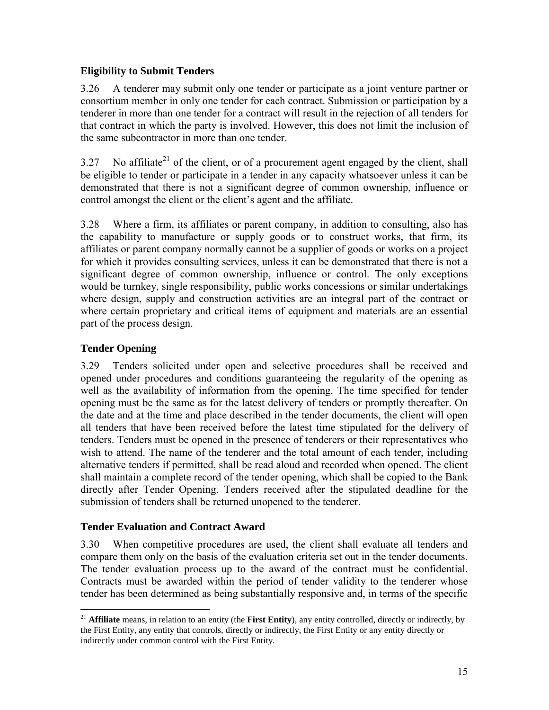#### <span id="page-18-0"></span>**Eligibility to Submit Tenders**

3.26 A tenderer may submit only one tender or participate as a joint venture partner or consortium member in only one tender for each contract. Submission or participation by a tenderer in more than one tender for a contract will result in the rejection of all tenders for that contract in which the party is involved. However, this does not limit the inclusion of the same subcontractor in more than one tender.

3.27 No affiliate<sup>21</sup> of the client, or of a procurement agent engaged by the client, shall be eligible to tender or participate in a tender in any capacity whatsoever unless it can be demonstrated that there is not a significant degree of common ownership, influence or control amongst the client or the client's agent and the affiliate.

3.28 Where a firm, its affiliates or parent company, in addition to consulting, also has the capability to manufacture or supply goods or to construct works, that firm, its affiliates or parent company normally cannot be a supplier of goods or works on a project for which it provides consulting services, unless it can be demonstrated that there is not a significant degree of common ownership, influence or control. The only exceptions would be turnkey, single responsibility, public works concessions or similar undertakings where design, supply and construction activities are an integral part of the contract or where certain proprietary and critical items of equipment and materials are an essential part of the process design.

# <span id="page-18-1"></span>**Tender Opening**

3.29 Tenders solicited under open and selective procedures shall be received and opened under procedures and conditions guaranteeing the regularity of the opening as well as the availability of information from the opening. The time specified for tender opening must be the same as for the latest delivery of tenders or promptly thereafter. On the date and at the time and place described in the tender documents, the client will open all tenders that have been received before the latest time stipulated for the delivery of tenders. Tenders must be opened in the presence of tenderers or their representatives who wish to attend. The name of the tenderer and the total amount of each tender, including alternative tenders if permitted, shall be read aloud and recorded when opened. The client shall maintain a complete record of the tender opening, which shall be copied to the Bank directly after Tender Opening. Tenders received after the stipulated deadline for the submission of tenders shall be returned unopened to the tenderer.

## <span id="page-18-2"></span>**Tender Evaluation and Contract Award**

3.30 When competitive procedures are used, the client shall evaluate all tenders and compare them only on the basis of the evaluation criteria set out in the tender documents. The tender evaluation process up to the award of the contract must be confidential. Contracts must be awarded within the period of tender validity to the tenderer whose tender has been determined as being substantially responsive and, in terms of the specific

 $\overline{a}$ <sup>21</sup> **Affiliate** means, in relation to an entity (the **First Entity**), any entity controlled, directly or indirectly, by the First Entity, any entity that controls, directly or indirectly, the First Entity or any entity directly or indirectly under common control with the First Entity.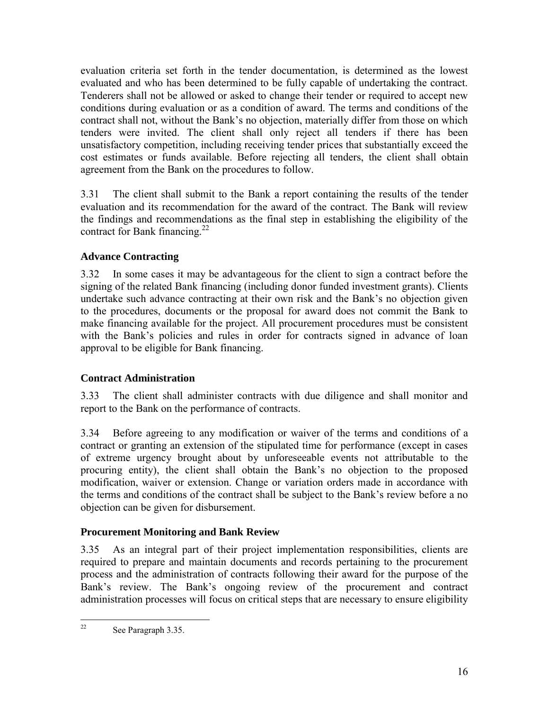evaluation criteria set forth in the tender documentation, is determined as the lowest evaluated and who has been determined to be fully capable of undertaking the contract. Tenderers shall not be allowed or asked to change their tender or required to accept new conditions during evaluation or as a condition of award. The terms and conditions of the contract shall not, without the Bank's no objection, materially differ from those on which tenders were invited. The client shall only reject all tenders if there has been unsatisfactory competition, including receiving tender prices that substantially exceed the cost estimates or funds available. Before rejecting all tenders, the client shall obtain agreement from the Bank on the procedures to follow.

3.31 The client shall submit to the Bank a report containing the results of the tender evaluation and its recommendation for the award of the contract. The Bank will review the findings and recommendations as the final step in establishing the eligibility of the contract for Bank financing.<sup>22</sup>

## <span id="page-19-0"></span>**Advance Contracting**

3.32 In some cases it may be advantageous for the client to sign a contract before the signing of the related Bank financing (including donor funded investment grants). Clients undertake such advance contracting at their own risk and the Bank's no objection given to the procedures, documents or the proposal for award does not commit the Bank to make financing available for the project. All procurement procedures must be consistent with the Bank's policies and rules in order for contracts signed in advance of loan approval to be eligible for Bank financing.

## **Contract Administration**

3.33 The client shall administer contracts with due diligence and shall monitor and report to the Bank on the performance of contracts.

3.34 Before agreeing to any modification or waiver of the terms and conditions of a contract or granting an extension of the stipulated time for performance (except in cases of extreme urgency brought about by unforeseeable events not attributable to the procuring entity), the client shall obtain the Bank's no objection to the proposed modification, waiver or extension. Change or variation orders made in accordance with the terms and conditions of the contract shall be subject to the Bank's review before a no objection can be given for disbursement.

## <span id="page-19-1"></span>**Procurement Monitoring and Bank Review**

3.35 As an integral part of their project implementation responsibilities, clients are required to prepare and maintain documents and records pertaining to the procurement process and the administration of contracts following their award for the purpose of the Bank's review. The Bank's ongoing review of the procurement and contract administration processes will focus on critical steps that are necessary to ensure eligibility

 $22$ See Paragraph 3.35.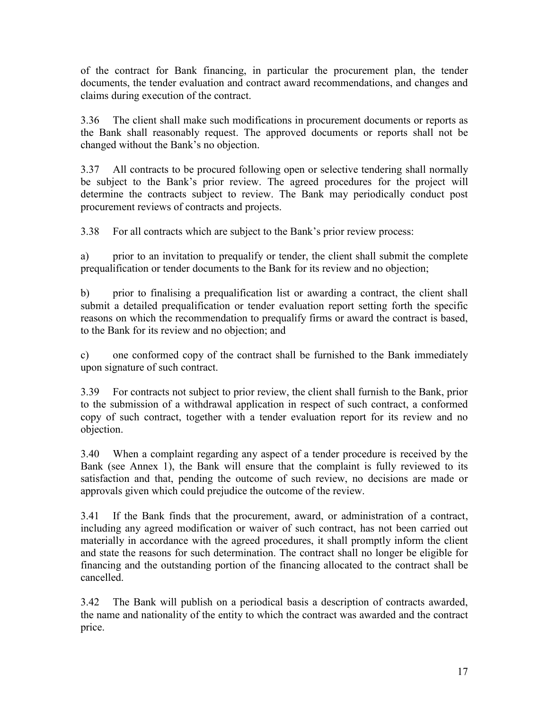of the contract for Bank financing, in particular the procurement plan, the tender documents, the tender evaluation and contract award recommendations, and changes and claims during execution of the contract.

3.36 The client shall make such modifications in procurement documents or reports as the Bank shall reasonably request. The approved documents or reports shall not be changed without the Bank's no objection.

3.37 All contracts to be procured following open or selective tendering shall normally be subject to the Bank's prior review. The agreed procedures for the project will determine the contracts subject to review. The Bank may periodically conduct post procurement reviews of contracts and projects.

3.38 For all contracts which are subject to the Bank's prior review process:

a) prior to an invitation to prequalify or tender, the client shall submit the complete prequalification or tender documents to the Bank for its review and no objection;

b) prior to finalising a prequalification list or awarding a contract, the client shall submit a detailed prequalification or tender evaluation report setting forth the specific reasons on which the recommendation to prequalify firms or award the contract is based, to the Bank for its review and no objection; and

c) one conformed copy of the contract shall be furnished to the Bank immediately upon signature of such contract.

3.39 For contracts not subject to prior review, the client shall furnish to the Bank, prior to the submission of a withdrawal application in respect of such contract, a conformed copy of such contract, together with a tender evaluation report for its review and no objection.

3.40 When a complaint regarding any aspect of a tender procedure is received by the Bank (see Annex 1), the Bank will ensure that the complaint is fully reviewed to its satisfaction and that, pending the outcome of such review, no decisions are made or approvals given which could prejudice the outcome of the review.

3.41 If the Bank finds that the procurement, award, or administration of a contract, including any agreed modification or waiver of such contract, has not been carried out materially in accordance with the agreed procedures, it shall promptly inform the client and state the reasons for such determination. The contract shall no longer be eligible for financing and the outstanding portion of the financing allocated to the contract shall be cancelled.

3.42 The Bank will publish on a periodical basis a description of contracts awarded, the name and nationality of the entity to which the contract was awarded and the contract price.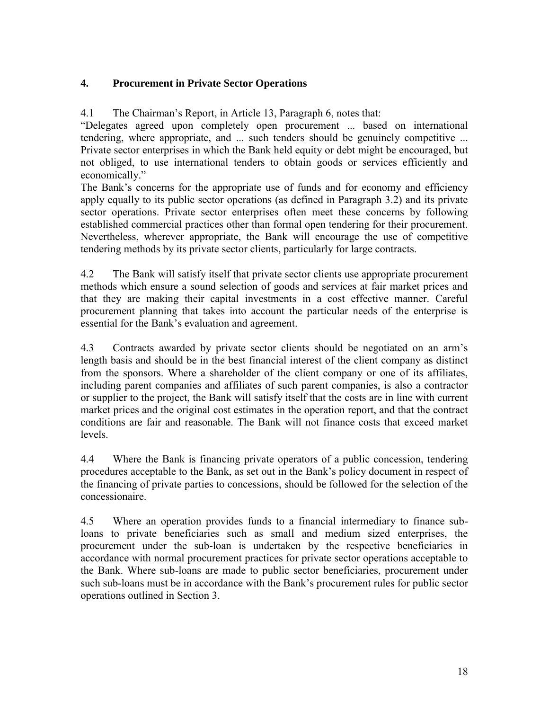## <span id="page-21-0"></span>**4. Procurement in Private Sector Operations**

4.1 The Chairman's Report, in Article 13, Paragraph 6, notes that:

"Delegates agreed upon completely open procurement ... based on international tendering, where appropriate, and ... such tenders should be genuinely competitive ... Private sector enterprises in which the Bank held equity or debt might be encouraged, but not obliged, to use international tenders to obtain goods or services efficiently and economically."

The Bank's concerns for the appropriate use of funds and for economy and efficiency apply equally to its public sector operations (as defined in Paragraph 3.2) and its private sector operations. Private sector enterprises often meet these concerns by following established commercial practices other than formal open tendering for their procurement. Nevertheless, wherever appropriate, the Bank will encourage the use of competitive tendering methods by its private sector clients, particularly for large contracts.

4.2 The Bank will satisfy itself that private sector clients use appropriate procurement methods which ensure a sound selection of goods and services at fair market prices and that they are making their capital investments in a cost effective manner. Careful procurement planning that takes into account the particular needs of the enterprise is essential for the Bank's evaluation and agreement.

4.3 Contracts awarded by private sector clients should be negotiated on an arm's length basis and should be in the best financial interest of the client company as distinct from the sponsors. Where a shareholder of the client company or one of its affiliates, including parent companies and affiliates of such parent companies, is also a contractor or supplier to the project, the Bank will satisfy itself that the costs are in line with current market prices and the original cost estimates in the operation report, and that the contract conditions are fair and reasonable. The Bank will not finance costs that exceed market levels.

4.4 Where the Bank is financing private operators of a public concession, tendering procedures acceptable to the Bank, as set out in the Bank's policy document in respect of the financing of private parties to concessions, should be followed for the selection of the concessionaire.

<span id="page-21-1"></span>4.5 Where an operation provides funds to a financial intermediary to finance subloans to private beneficiaries such as small and medium sized enterprises, the procurement under the sub-loan is undertaken by the respective beneficiaries in accordance with normal procurement practices for private sector operations acceptable to the Bank. Where sub-loans are made to public sector beneficiaries, procurement under such sub-loans must be in accordance with the Bank's procurement rules for public sector operations outlined in Section 3.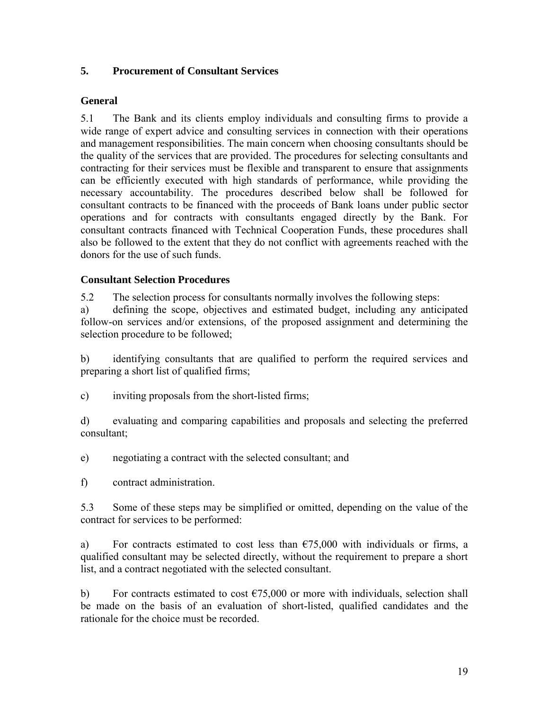#### **5. Procurement of Consultant Services**

#### <span id="page-22-0"></span>**General**

5.1 The Bank and its clients employ individuals and consulting firms to provide a wide range of expert advice and consulting services in connection with their operations and management responsibilities. The main concern when choosing consultants should be the quality of the services that are provided. The procedures for selecting consultants and contracting for their services must be flexible and transparent to ensure that assignments can be efficiently executed with high standards of performance, while providing the necessary accountability. The procedures described below shall be followed for consultant contracts to be financed with the proceeds of Bank loans under public sector operations and for contracts with consultants engaged directly by the Bank. For consultant contracts financed with Technical Cooperation Funds, these procedures shall also be followed to the extent that they do not conflict with agreements reached with the donors for the use of such funds.

#### <span id="page-22-1"></span>**Consultant Selection Procedures**

5.2 The selection process for consultants normally involves the following steps:

a) defining the scope, objectives and estimated budget, including any anticipated follow-on services and/or extensions, of the proposed assignment and determining the selection procedure to be followed;

b) identifying consultants that are qualified to perform the required services and preparing a short list of qualified firms;

c) inviting proposals from the short-listed firms;

d) evaluating and comparing capabilities and proposals and selecting the preferred consultant;

e) negotiating a contract with the selected consultant; and

f) contract administration.

5.3 Some of these steps may be simplified or omitted, depending on the value of the contract for services to be performed:

a) For contracts estimated to cost less than  $\epsilon$ 75,000 with individuals or firms, a qualified consultant may be selected directly, without the requirement to prepare a short list, and a contract negotiated with the selected consultant.

b) For contracts estimated to cost  $\epsilon$ 75,000 or more with individuals, selection shall be made on the basis of an evaluation of short-listed, qualified candidates and the rationale for the choice must be recorded.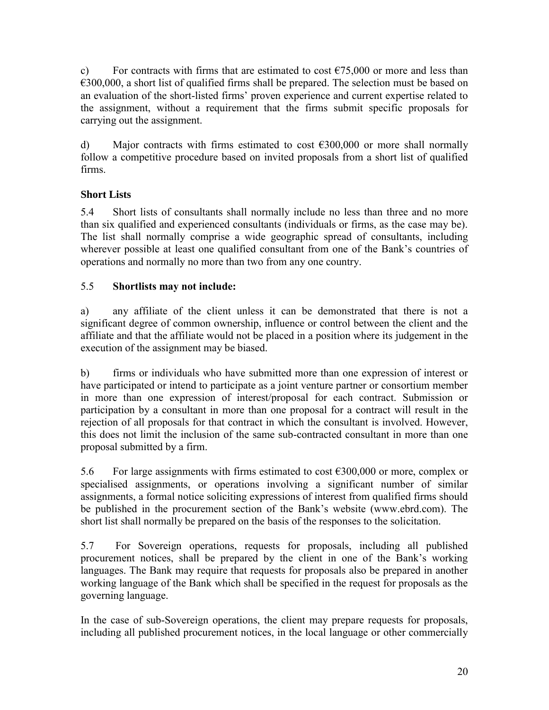c) For contracts with firms that are estimated to cost  $\epsilon$ 75,000 or more and less than  $\epsilon$ 300,000, a short list of qualified firms shall be prepared. The selection must be based on an evaluation of the short-listed firms' proven experience and current expertise related to the assignment, without a requirement that the firms submit specific proposals for carrying out the assignment.

d) Major contracts with firms estimated to cost  $\epsilon$ 300,000 or more shall normally follow a competitive procedure based on invited proposals from a short list of qualified firms.

# <span id="page-23-0"></span>**Short Lists**

5.4 Short lists of consultants shall normally include no less than three and no more than six qualified and experienced consultants (individuals or firms, as the case may be). The list shall normally comprise a wide geographic spread of consultants, including wherever possible at least one qualified consultant from one of the Bank's countries of operations and normally no more than two from any one country.

# 5.5 **Shortlists may not include:**

a) any affiliate of the client unless it can be demonstrated that there is not a significant degree of common ownership, influence or control between the client and the affiliate and that the affiliate would not be placed in a position where its judgement in the execution of the assignment may be biased.

b) firms or individuals who have submitted more than one expression of interest or have participated or intend to participate as a joint venture partner or consortium member in more than one expression of interest/proposal for each contract. Submission or participation by a consultant in more than one proposal for a contract will result in the rejection of all proposals for that contract in which the consultant is involved. However, this does not limit the inclusion of the same sub-contracted consultant in more than one proposal submitted by a firm.

5.6 For large assignments with firms estimated to cost  $\epsilon$ 300,000 or more, complex or specialised assignments, or operations involving a significant number of similar assignments, a formal notice soliciting expressions of interest from qualified firms should be published in the procurement section of the Bank's website (www.ebrd.com). The short list shall normally be prepared on the basis of the responses to the solicitation.

5.7 For Sovereign operations, requests for proposals, including all published procurement notices, shall be prepared by the client in one of the Bank's working languages. The Bank may require that requests for proposals also be prepared in another working language of the Bank which shall be specified in the request for proposals as the governing language.

In the case of sub-Sovereign operations, the client may prepare requests for proposals, including all published procurement notices, in the local language or other commercially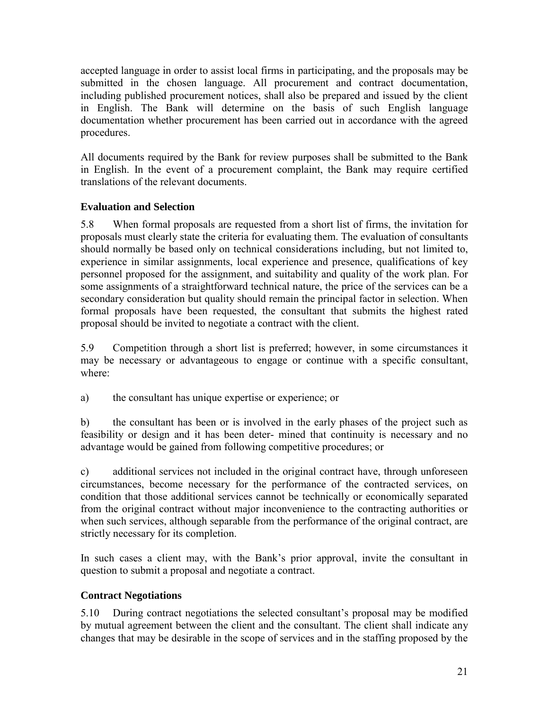accepted language in order to assist local firms in participating, and the proposals may be submitted in the chosen language. All procurement and contract documentation, including published procurement notices, shall also be prepared and issued by the client in English. The Bank will determine on the basis of such English language documentation whether procurement has been carried out in accordance with the agreed procedures.

All documents required by the Bank for review purposes shall be submitted to the Bank in English. In the event of a procurement complaint, the Bank may require certified translations of the relevant documents.

# <span id="page-24-0"></span>**Evaluation and Selection**

5.8 When formal proposals are requested from a short list of firms, the invitation for proposals must clearly state the criteria for evaluating them. The evaluation of consultants should normally be based only on technical considerations including, but not limited to, experience in similar assignments, local experience and presence, qualifications of key personnel proposed for the assignment, and suitability and quality of the work plan. For some assignments of a straightforward technical nature, the price of the services can be a secondary consideration but quality should remain the principal factor in selection. When formal proposals have been requested, the consultant that submits the highest rated proposal should be invited to negotiate a contract with the client.

5.9 Competition through a short list is preferred; however, in some circumstances it may be necessary or advantageous to engage or continue with a specific consultant, where:

a) the consultant has unique expertise or experience; or

b) the consultant has been or is involved in the early phases of the project such as feasibility or design and it has been deter- mined that continuity is necessary and no advantage would be gained from following competitive procedures; or

c) additional services not included in the original contract have, through unforeseen circumstances, become necessary for the performance of the contracted services, on condition that those additional services cannot be technically or economically separated from the original contract without major inconvenience to the contracting authorities or when such services, although separable from the performance of the original contract, are strictly necessary for its completion.

In such cases a client may, with the Bank's prior approval, invite the consultant in question to submit a proposal and negotiate a contract.

## <span id="page-24-1"></span>**Contract Negotiations**

5.10 During contract negotiations the selected consultant's proposal may be modified by mutual agreement between the client and the consultant. The client shall indicate any changes that may be desirable in the scope of services and in the staffing proposed by the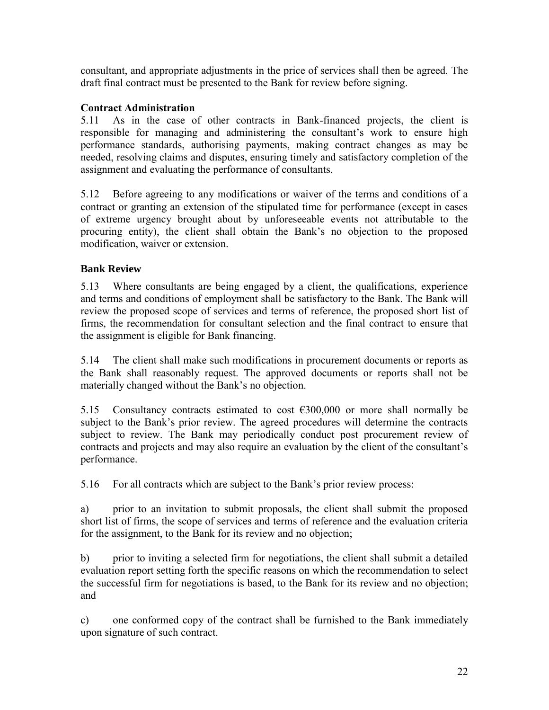consultant, and appropriate adjustments in the price of services shall then be agreed. The draft final contract must be presented to the Bank for review before signing.

# **Contract Administration**

5.11 As in the case of other contracts in Bank-financed projects, the client is responsible for managing and administering the consultant's work to ensure high performance standards, authorising payments, making contract changes as may be needed, resolving claims and disputes, ensuring timely and satisfactory completion of the assignment and evaluating the performance of consultants.

5.12 Before agreeing to any modifications or waiver of the terms and conditions of a contract or granting an extension of the stipulated time for performance (except in cases of extreme urgency brought about by unforeseeable events not attributable to the procuring entity), the client shall obtain the Bank's no objection to the proposed modification, waiver or extension.

# <span id="page-25-0"></span>**Bank Review**

5.13 Where consultants are being engaged by a client, the qualifications, experience and terms and conditions of employment shall be satisfactory to the Bank. The Bank will review the proposed scope of services and terms of reference, the proposed short list of firms, the recommendation for consultant selection and the final contract to ensure that the assignment is eligible for Bank financing.

5.14 The client shall make such modifications in procurement documents or reports as the Bank shall reasonably request. The approved documents or reports shall not be materially changed without the Bank's no objection.

5.15 Consultancy contracts estimated to cost  $\epsilon$ 300,000 or more shall normally be subject to the Bank's prior review. The agreed procedures will determine the contracts subject to review. The Bank may periodically conduct post procurement review of contracts and projects and may also require an evaluation by the client of the consultant's performance.

5.16 For all contracts which are subject to the Bank's prior review process:

a) prior to an invitation to submit proposals, the client shall submit the proposed short list of firms, the scope of services and terms of reference and the evaluation criteria for the assignment, to the Bank for its review and no objection;

b) prior to inviting a selected firm for negotiations, the client shall submit a detailed evaluation report setting forth the specific reasons on which the recommendation to select the successful firm for negotiations is based, to the Bank for its review and no objection; and

c) one conformed copy of the contract shall be furnished to the Bank immediately upon signature of such contract.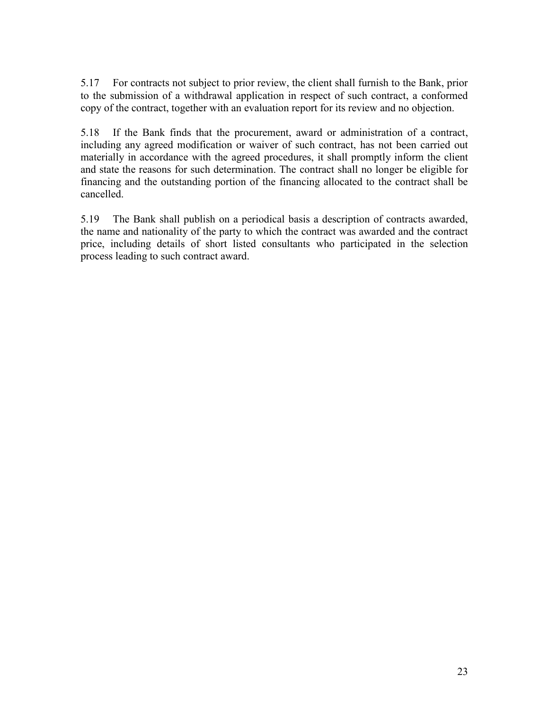5.17 For contracts not subject to prior review, the client shall furnish to the Bank, prior to the submission of a withdrawal application in respect of such contract, a conformed copy of the contract, together with an evaluation report for its review and no objection.

5.18 If the Bank finds that the procurement, award or administration of a contract, including any agreed modification or waiver of such contract, has not been carried out materially in accordance with the agreed procedures, it shall promptly inform the client and state the reasons for such determination. The contract shall no longer be eligible for financing and the outstanding portion of the financing allocated to the contract shall be cancelled.

5.19 The Bank shall publish on a periodical basis a description of contracts awarded, the name and nationality of the party to which the contract was awarded and the contract price, including details of short listed consultants who participated in the selection process leading to such contract award.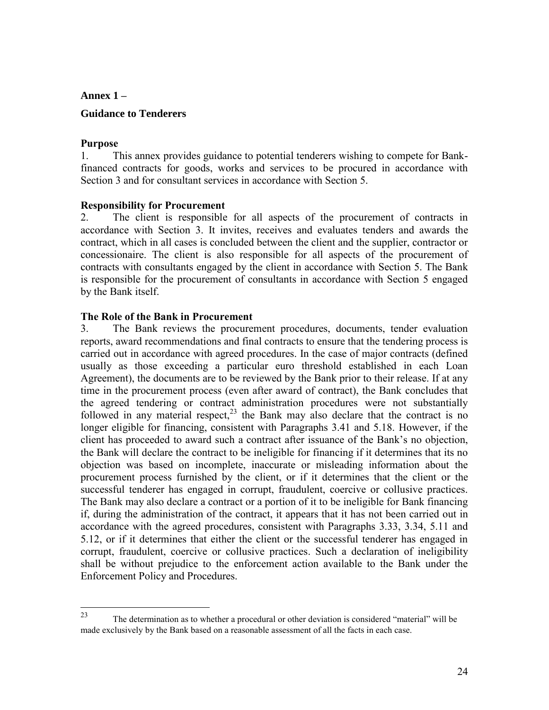<span id="page-27-0"></span>**Annex 1 –**

#### **Guidance to Tenderers**

#### **Purpose**

1. This annex provides guidance to potential tenderers wishing to compete for Bankfinanced contracts for goods, works and services to be procured in accordance with Section 3 and for consultant services in accordance with Section 5.

#### **Responsibility for Procurement**

2. The client is responsible for all aspects of the procurement of contracts in accordance with Section 3. It invites, receives and evaluates tenders and awards the contract, which in all cases is concluded between the client and the supplier, contractor or concessionaire. The client is also responsible for all aspects of the procurement of contracts with consultants engaged by the client in accordance with Section 5. The Bank is responsible for the procurement of consultants in accordance with Section 5 engaged by the Bank itself.

#### **The Role of the Bank in Procurement**

3. The Bank reviews the procurement procedures, documents, tender evaluation reports, award recommendations and final contracts to ensure that the tendering process is carried out in accordance with agreed procedures. In the case of major contracts (defined usually as those exceeding a particular euro threshold established in each Loan Agreement), the documents are to be reviewed by the Bank prior to their release. If at any time in the procurement process (even after award of contract), the Bank concludes that the agreed tendering or contract administration procedures were not substantially followed in any material respect,  $2<sup>3</sup>$  the Bank may also declare that the contract is no longer eligible for financing, consistent with Paragraphs 3.41 and 5.18. However, if the client has proceeded to award such a contract after issuance of the Bank's no objection, the Bank will declare the contract to be ineligible for financing if it determines that its no objection was based on incomplete, inaccurate or misleading information about the procurement process furnished by the client, or if it determines that the client or the successful tenderer has engaged in corrupt, fraudulent, coercive or collusive practices. The Bank may also declare a contract or a portion of it to be ineligible for Bank financing if, during the administration of the contract, it appears that it has not been carried out in accordance with the agreed procedures, consistent with Paragraphs 3.33, 3.34, 5.11 and 5.12, or if it determines that either the client or the successful tenderer has engaged in corrupt, fraudulent, coercive or collusive practices. Such a declaration of ineligibility shall be without prejudice to the enforcement action available to the Bank under the Enforcement Policy and Procedures.

<sup>23</sup> The determination as to whether a procedural or other deviation is considered "material" will be made exclusively by the Bank based on a reasonable assessment of all the facts in each case.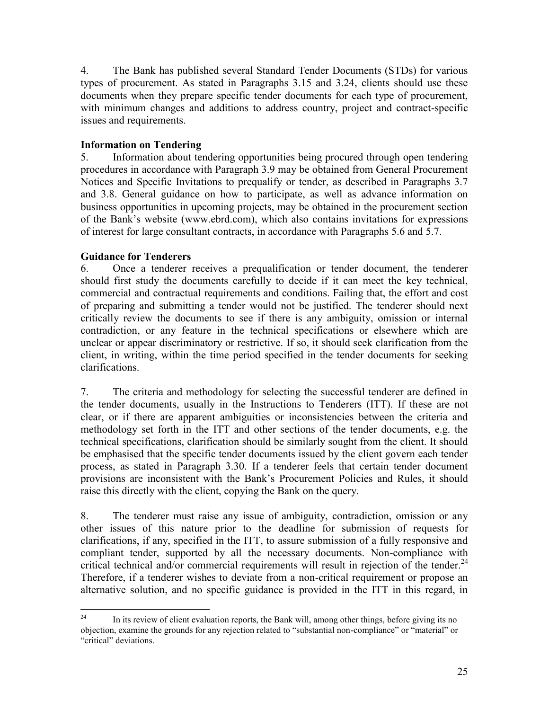4. The Bank has published several Standard Tender Documents (STDs) for various types of procurement. As stated in Paragraphs 3.15 and 3.24, clients should use these documents when they prepare specific tender documents for each type of procurement, with minimum changes and additions to address country, project and contract-specific issues and requirements.

#### **Information on Tendering**

5. Information about tendering opportunities being procured through open tendering procedures in accordance with Paragraph 3.9 may be obtained from General Procurement Notices and Specific Invitations to prequalify or tender, as described in Paragraphs 3.7 and 3.8. General guidance on how to participate, as well as advance information on business opportunities in upcoming projects, may be obtained in the procurement section of the Bank's website (www.ebrd.com), which also contains invitations for expressions of interest for large consultant contracts, in accordance with Paragraphs 5.6 and 5.7.

#### **Guidance for Tenderers**

6. Once a tenderer receives a prequalification or tender document, the tenderer should first study the documents carefully to decide if it can meet the key technical, commercial and contractual requirements and conditions. Failing that, the effort and cost of preparing and submitting a tender would not be justified. The tenderer should next critically review the documents to see if there is any ambiguity, omission or internal contradiction, or any feature in the technical specifications or elsewhere which are unclear or appear discriminatory or restrictive. If so, it should seek clarification from the client, in writing, within the time period specified in the tender documents for seeking clarifications.

7. The criteria and methodology for selecting the successful tenderer are defined in the tender documents, usually in the Instructions to Tenderers (ITT). If these are not clear, or if there are apparent ambiguities or inconsistencies between the criteria and methodology set forth in the ITT and other sections of the tender documents, e.g. the technical specifications, clarification should be similarly sought from the client. It should be emphasised that the specific tender documents issued by the client govern each tender process, as stated in Paragraph 3.30. If a tenderer feels that certain tender document provisions are inconsistent with the Bank's Procurement Policies and Rules, it should raise this directly with the client, copying the Bank on the query.

8. The tenderer must raise any issue of ambiguity, contradiction, omission or any other issues of this nature prior to the deadline for submission of requests for clarifications, if any, specified in the ITT, to assure submission of a fully responsive and compliant tender, supported by all the necessary documents. Non-compliance with critical technical and/or commercial requirements will result in rejection of the tender.<sup>24</sup> Therefore, if a tenderer wishes to deviate from a non-critical requirement or propose an alternative solution, and no specific guidance is provided in the ITT in this regard, in

 $24$ In its review of client evaluation reports, the Bank will, among other things, before giving its no objection, examine the grounds for any rejection related to "substantial non-compliance" or "material" or "critical" deviations.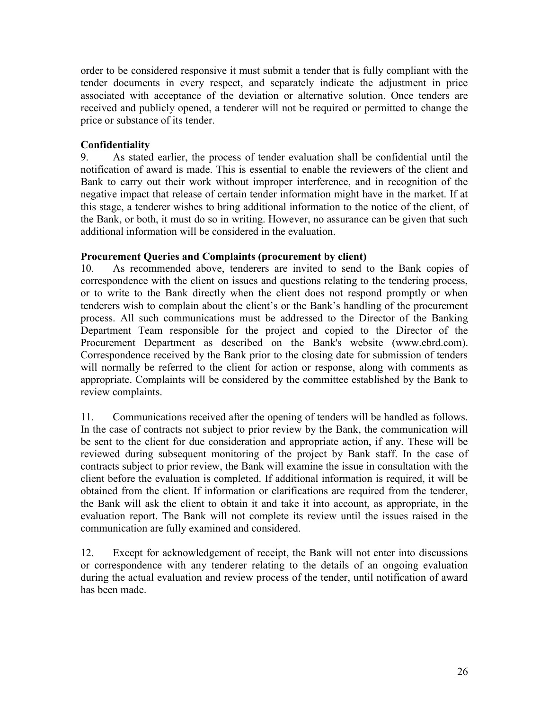order to be considered responsive it must submit a tender that is fully compliant with the tender documents in every respect, and separately indicate the adjustment in price associated with acceptance of the deviation or alternative solution. Once tenders are received and publicly opened, a tenderer will not be required or permitted to change the price or substance of its tender.

#### **Confidentiality**

9. As stated earlier, the process of tender evaluation shall be confidential until the notification of award is made. This is essential to enable the reviewers of the client and Bank to carry out their work without improper interference, and in recognition of the negative impact that release of certain tender information might have in the market. If at this stage, a tenderer wishes to bring additional information to the notice of the client, of the Bank, or both, it must do so in writing. However, no assurance can be given that such additional information will be considered in the evaluation.

#### **Procurement Queries and Complaints (procurement by client)**

10. As recommended above, tenderers are invited to send to the Bank copies of correspondence with the client on issues and questions relating to the tendering process, or to write to the Bank directly when the client does not respond promptly or when tenderers wish to complain about the client's or the Bank's handling of the procurement process. All such communications must be addressed to the Director of the Banking Department Team responsible for the project and copied to the Director of the Procurement Department as described on the Bank's website (www.ebrd.com). Correspondence received by the Bank prior to the closing date for submission of tenders will normally be referred to the client for action or response, along with comments as appropriate. Complaints will be considered by the committee established by the Bank to review complaints.

11. Communications received after the opening of tenders will be handled as follows. In the case of contracts not subject to prior review by the Bank, the communication will be sent to the client for due consideration and appropriate action, if any. These will be reviewed during subsequent monitoring of the project by Bank staff. In the case of contracts subject to prior review, the Bank will examine the issue in consultation with the client before the evaluation is completed. If additional information is required, it will be obtained from the client. If information or clarifications are required from the tenderer, the Bank will ask the client to obtain it and take it into account, as appropriate, in the evaluation report. The Bank will not complete its review until the issues raised in the communication are fully examined and considered.

12. Except for acknowledgement of receipt, the Bank will not enter into discussions or correspondence with any tenderer relating to the details of an ongoing evaluation during the actual evaluation and review process of the tender, until notification of award has been made.